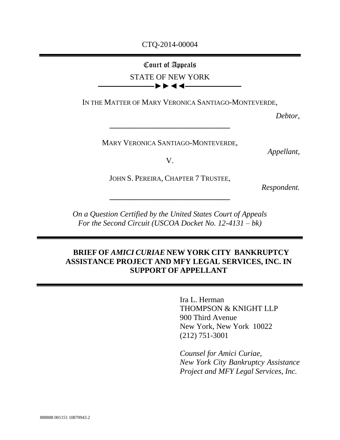### CTQ-2014-00004

# Court of Appeals STATE OF NEW YORK

**————————————►►◄◄————————————**

IN THE MATTER OF MARY VERONICA SANTIAGO-MONTEVERDE,

*Debtor,*

MARY VERONICA SANTIAGO-MONTEVERDE,

**\_\_\_\_\_\_\_\_\_\_\_\_\_\_\_\_\_\_\_\_\_\_\_\_\_\_\_\_\_\_\_**

*Appellant,*

V.

JOHN S. PEREIRA, CHAPTER 7 TRUSTEE,

**\_\_\_\_\_\_\_\_\_\_\_\_\_\_\_\_\_\_\_\_\_\_\_\_\_\_\_\_\_\_\_**

*Respondent.*

*On a Question Certified by the United States Court of Appeals For the Second Circuit (USCOA Docket No. 12-4131 – bk)*

## **BRIEF OF** *AMICI CURIAE* **NEW YORK CITY BANKRUPTCY ASSISTANCE PROJECT AND MFY LEGAL SERVICES, INC. IN SUPPORT OF APPELLANT**

Ira L. Herman THOMPSON & KNIGHT LLP 900 Third Avenue New York, New York 10022 (212) 751-3001

*Counsel for Amici Curiae, New York City Bankruptcy Assistance Project and MFY Legal Services, Inc.*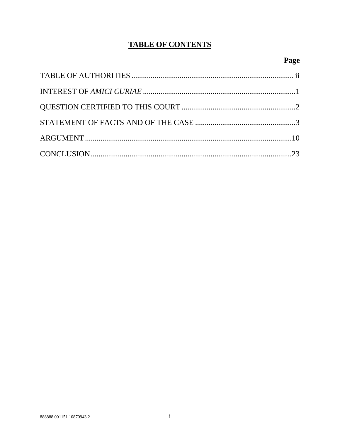# **TABLE OF CONTENTS**

# Page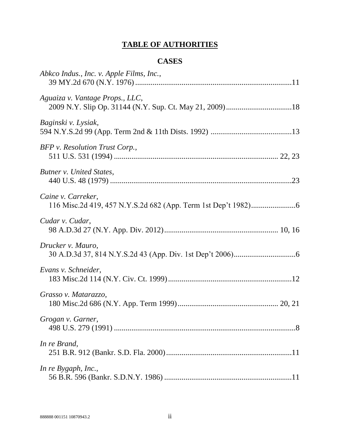# **TABLE OF AUTHORITIES**

## **CASES**

<span id="page-2-0"></span>

| Abkco Indus., Inc. v. Apple Films, Inc., |
|------------------------------------------|
| Aguaiza v. Vantage Props., LLC,          |
| Baginski v. Lysiak,                      |
| BFP v. Resolution Trust Corp.,           |
| Butner v. United States,                 |
| Caine v. Carreker,                       |
| Cudar v. Cudar,                          |
| Drucker v. Mauro,                        |
| Evans v. Schneider,                      |
| Grasso v. Matarazzo,                     |
| Grogan v. Garner,                        |
| In re Brand,                             |
| In re Bygaph, Inc.,                      |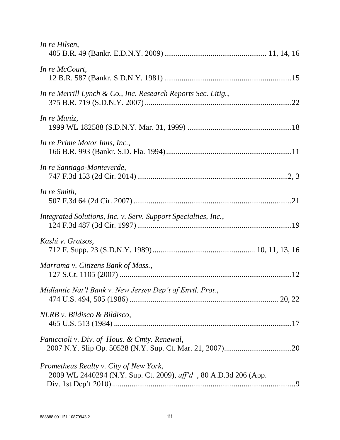| In re Hilsen,                                                                                              |
|------------------------------------------------------------------------------------------------------------|
| In re McCourt,                                                                                             |
| In re Merrill Lynch & Co., Inc. Research Reports Sec. Litig.,                                              |
| In re Muniz,                                                                                               |
| In re Prime Motor Inns, Inc.,                                                                              |
| In re Santiago-Monteverde,                                                                                 |
| In re Smith,                                                                                               |
| Integrated Solutions, Inc. v. Serv. Support Specialties, Inc.,                                             |
| Kashi v. Gratsos,                                                                                          |
| Marrama v. Citizens Bank of Mass.,                                                                         |
| Midlantic Nat'l Bank v. New Jersey Dep't of Envtl. Prot.,                                                  |
| NLRB v. Bildisco & Bildisco,                                                                               |
| Paniccioli v. Div. of Hous. & Cmty. Renewal,                                                               |
| Prometheus Realty v. City of New York,<br>2009 WL 2440294 (N.Y. Sup. Ct. 2009), aff'd, 80 A.D.3d 206 (App. |
|                                                                                                            |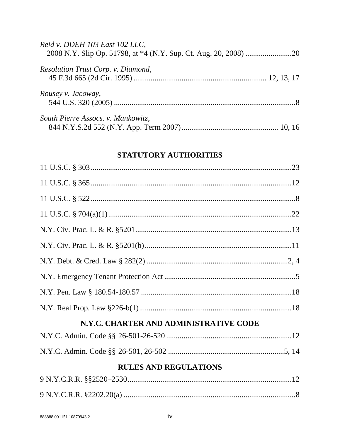| Reid v. DDEH 103 East 102 LLC,     |  |
|------------------------------------|--|
| Resolution Trust Corp. v. Diamond, |  |
| Rousey v. Jacoway,                 |  |
| South Pierre Assocs. v. Mankowitz, |  |

## STATUTORY AUTHORITIES

| N.Y.C. CHARTER AND ADMINISTRATIVE CODE |  |
|----------------------------------------|--|
|                                        |  |
|                                        |  |
| <b>RULES AND REGULATIONS</b>           |  |
|                                        |  |
|                                        |  |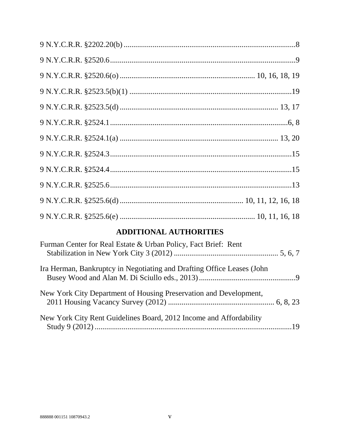# **ADDITIONAL AUTHORITIES**

| Furman Center for Real Estate & Urban Policy, Fact Brief: Rent         |  |
|------------------------------------------------------------------------|--|
| Ira Herman, Bankruptcy in Negotiating and Drafting Office Leases (John |  |
| New York City Department of Housing Preservation and Development,      |  |
| New York City Rent Guidelines Board, 2012 Income and Affordability     |  |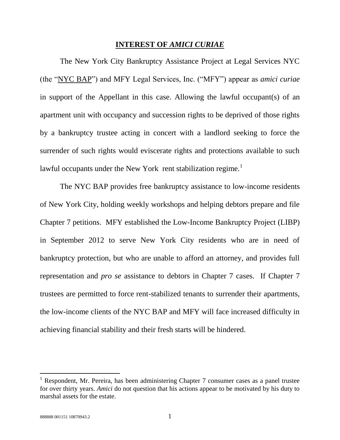#### **INTEREST OF** *AMICI CURIAE*

<span id="page-6-0"></span>The New York City Bankruptcy Assistance Project at Legal Services NYC (the "NYC BAP") and MFY Legal Services, Inc. ("MFY") appear as *amici curiae*  in support of the Appellant in this case. Allowing the lawful occupant(s) of an apartment unit with occupancy and succession rights to be deprived of those rights by a bankruptcy trustee acting in concert with a landlord seeking to force the surrender of such rights would eviscerate rights and protections available to such lawful occupants under the New York rent stabilization regime.<sup>1</sup>

The NYC BAP provides free bankruptcy assistance to low-income residents of New York City, holding weekly workshops and helping debtors prepare and file Chapter 7 petitions. MFY established the Low-Income Bankruptcy Project (LIBP) in September 2012 to serve New York City residents who are in need of bankruptcy protection, but who are unable to afford an attorney, and provides full representation and *pro se* assistance to debtors in Chapter 7 cases. If Chapter 7 trustees are permitted to force rent-stabilized tenants to surrender their apartments, the low-income clients of the NYC BAP and MFY will face increased difficulty in achieving financial stability and their fresh starts will be hindered.

<sup>&</sup>lt;sup>1</sup> Respondent, Mr. Pereira, has been administering Chapter 7 consumer cases as a panel trustee for over thirty years. *Amici* do not question that his actions appear to be motivated by his duty to marshal assets for the estate.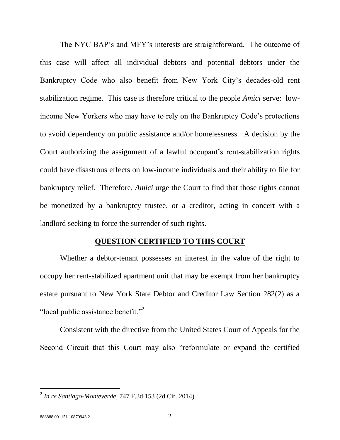The NYC BAP's and MFY's interests are straightforward. The outcome of this case will affect all individual debtors and potential debtors under the Bankruptcy Code who also benefit from New York City's decades-old rent stabilization regime. This case is therefore critical to the people *Amici* serve: lowincome New Yorkers who may have to rely on the Bankruptcy Code's protections to avoid dependency on public assistance and/or homelessness. A decision by the Court authorizing the assignment of a lawful occupant's rent-stabilization rights could have disastrous effects on low-income individuals and their ability to file for bankruptcy relief. Therefore, *Amici* urge the Court to find that those rights cannot be monetized by a bankruptcy trustee, or a creditor, acting in concert with a landlord seeking to force the surrender of such rights.

#### **QUESTION CERTIFIED TO THIS COURT**

<span id="page-7-0"></span>Whether a debtor-tenant possesses an interest in the value of the right to occupy her rent-stabilized apartment unit that may be exempt from her bankruptcy estate pursuant to New York State Debtor and Creditor Law Section 282(2) as a "local public assistance benefit."<sup>2</sup>

Consistent with the directive from the United States Court of Appeals for the Second Circuit that this Court may also "reformulate or expand the certified

 2 *In re Santiago-Monteverde*, 747 F.3d 153 (2d Cir. 2014).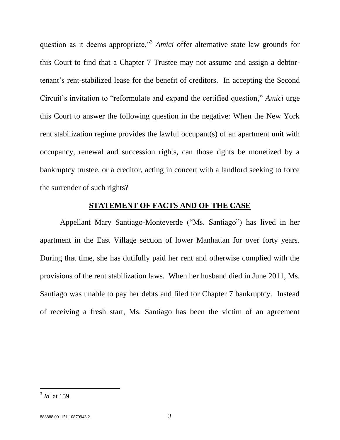question as it deems appropriate,"<sup>3</sup> Amici offer alternative state law grounds for this Court to find that a Chapter 7 Trustee may not assume and assign a debtortenant's rent-stabilized lease for the benefit of creditors. In accepting the Second Circuit's invitation to "reformulate and expand the certified question," *Amici* urge this Court to answer the following question in the negative: When the New York rent stabilization regime provides the lawful occupant(s) of an apartment unit with occupancy, renewal and succession rights, can those rights be monetized by a bankruptcy trustee, or a creditor, acting in concert with a landlord seeking to force the surrender of such rights?

### **STATEMENT OF FACTS AND OF THE CASE**

<span id="page-8-0"></span>Appellant Mary Santiago-Monteverde ("Ms. Santiago") has lived in her apartment in the East Village section of lower Manhattan for over forty years. During that time, she has dutifully paid her rent and otherwise complied with the provisions of the rent stabilization laws. When her husband died in June 2011, Ms. Santiago was unable to pay her debts and filed for Chapter 7 bankruptcy. Instead of receiving a fresh start, Ms. Santiago has been the victim of an agreement

 3 *Id.* at 159.

<sup>888888 001151 10870943.2 3</sup>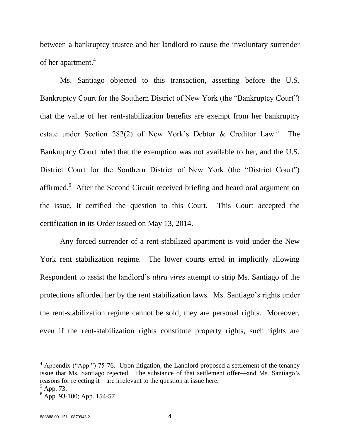between a bankruptcy trustee and her landlord to cause the involuntary surrender of her apartment.<sup>4</sup>

Ms. Santiago objected to this transaction, asserting before the U.S. Bankruptcy Court for the Southern District of New York (the "Bankruptcy Court") that the value of her rent-stabilization benefits are exempt from her bankruptcy estate under Section 282(2) of New York's Debtor & Creditor  $Law<sup>5</sup>$ . The Bankruptcy Court ruled that the exemption was not available to her, and the U.S. District Court for the Southern District of New York (the "District Court") affirmed.<sup>6</sup> After the Second Circuit received briefing and heard oral argument on the issue, it certified the question to this Court. This Court accepted the certification in its Order issued on May 13, 2014.

Any forced surrender of a rent-stabilized apartment is void under the New York rent stabilization regime. The lower courts erred in implicitly allowing Respondent to assist the landlord's *ultra vires* attempt to strip Ms. Santiago of the protections afforded her by the rent stabilization laws. Ms. Santiago's rights under the rent-stabilization regime cannot be sold; they are personal rights. Moreover, even if the rent-stabilization rights constitute property rights, such rights are

<sup>&</sup>lt;sup>4</sup> Appendix ("App.") 75-76. Upon litigation, the Landlord proposed a settlement of the tenancy issue that Ms. Santiago rejected. The substance of that settlement offer—and Ms. Santiago's reasons for rejecting it—are irrelevant to the question at issue here.

 $<sup>5</sup>$  App. 73.</sup>

 $<sup>6</sup>$  App. 93-100; App. 154-57</sup>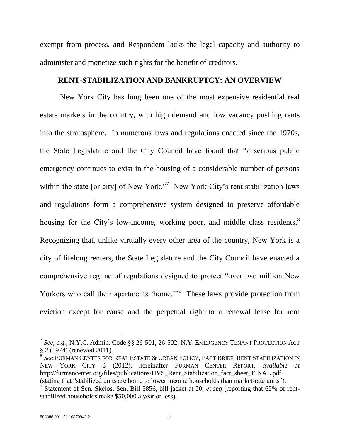exempt from process, and Respondent lacks the legal capacity and authority to administer and monetize such rights for the benefit of creditors.

### **RENT-STABILIZATION AND BANKRUPTCY: AN OVERVIEW**

New York City has long been one of the most expensive residential real estate markets in the country, with high demand and low vacancy pushing rents into the stratosphere. In numerous laws and regulations enacted since the 1970s, the State Legislature and the City Council have found that "a serious public emergency continues to exist in the housing of a considerable number of persons within the state [or city] of New York."<sup>7</sup> New York City's rent stabilization laws and regulations form a comprehensive system designed to preserve affordable housing for the City's low-income, working poor, and middle class residents.<sup>8</sup> Recognizing that, unlike virtually every other area of the country, New York is a city of lifelong renters, the State Legislature and the City Council have enacted a comprehensive regime of regulations designed to protect "over two million New Yorkers who call their apartments 'home.'"<sup>9</sup> These laws provide protection from eviction except for cause and the perpetual right to a renewal lease for rent

<sup>&</sup>lt;sup>7</sup> See, e.g., N.Y.C. Admin. Code §§ 26-501, 26-502; <u>N.Y. EMERGENCY TENANT PROTECTION ACT</u>  $\S$  2 (1974) (renewed 2011).<br>  $\S$  See FURMAN CENTER FOR

*See* FURMAN CENTER FOR REAL ESTATE & URBAN POLICY, FACT BRIEF: RENT STABILIZATION IN NEW YORK CITY 3 (2012), hereinafter FURMAN CENTER REPORT, *available at* http://furmancenter.org/files/publications/HVS\_Rent\_Stabilization\_fact\_sheet\_FINAL.pdf (stating that "stabilized units are home to lower income households than market-rate units").

 $\dot{9}$ Statement of Sen. Skelos, Sen. Bill 5856, bill jacket at 20, *et seq* (reporting that 62% of rentstabilized households make \$50,000 a year or less).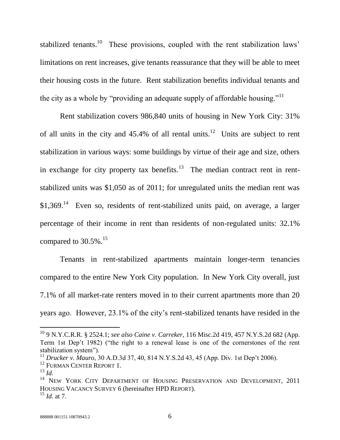stabilized tenants.<sup>10</sup> These provisions, coupled with the rent stabilization laws' limitations on rent increases, give tenants reassurance that they will be able to meet their housing costs in the future. Rent stabilization benefits individual tenants and the city as a whole by "providing an adequate supply of affordable housing."<sup>11</sup>

Rent stabilization covers 986,840 units of housing in New York City: 31% of all units in the city and  $45.4\%$  of all rental units.<sup>12</sup> Units are subject to rent stabilization in various ways: some buildings by virtue of their age and size, others in exchange for city property tax benefits.<sup>13</sup> The median contract rent in rentstabilized units was \$1,050 as of 2011; for unregulated units the median rent was  $$1,369$ .<sup>14</sup> Even so, residents of rent-stabilized units paid, on average, a larger percentage of their income in rent than residents of non-regulated units: 32.1% compared to  $30.5\%$ .<sup>15</sup>

Tenants in rent-stabilized apartments maintain longer-term tenancies compared to the entire New York City population. In New York City overall, just 7.1% of all market-rate renters moved in to their current apartments more than 20 years ago. However, 23.1% of the city's rent-stabilized tenants have resided in the

<sup>10</sup> 9 N.Y.C.R.R. § 2524.1; *see also Caine v. Carreker*, 116 Misc.2d 419, 457 N.Y.S.2d 682 (App. Term 1st Dep't 1982) ("the right to a renewal lease is one of the cornerstones of the rent stabilization system").

<sup>11</sup> *Drucker v. Mauro*, 30 A.D.3d 37, 40, 814 N.Y.S.2d 43, 45 (App. Div. 1st Dep't 2006).

<sup>&</sup>lt;sup>12</sup> FURMAN CENTER REPORT 1.

<sup>13</sup> *Id.*

<sup>&</sup>lt;sup>14</sup> NEW YORK CITY DEPARTMENT OF HOUSING PRESERVATION AND DEVELOPMENT, 2011 HOUSING VACANCY SURVEY 6 (hereinafter HPD REPORT). <sup>15</sup> *Id.* at 7.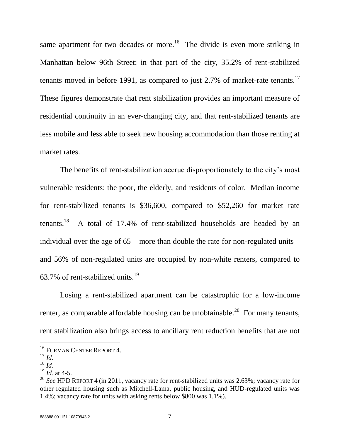same apartment for two decades or more.<sup>16</sup> The divide is even more striking in Manhattan below 96th Street: in that part of the city, 35.2% of rent-stabilized tenants moved in before 1991, as compared to just 2.7% of market-rate tenants.<sup>17</sup> These figures demonstrate that rent stabilization provides an important measure of residential continuity in an ever-changing city, and that rent-stabilized tenants are less mobile and less able to seek new housing accommodation than those renting at market rates.

The benefits of rent-stabilization accrue disproportionately to the city's most vulnerable residents: the poor, the elderly, and residents of color. Median income for rent-stabilized tenants is \$36,600, compared to \$52,260 for market rate  $t$ enants.<sup>18</sup> A total of 17.4% of rent-stabilized households are headed by an individual over the age of 65 – more than double the rate for non-regulated units – and 56% of non-regulated units are occupied by non-white renters, compared to 63.7% of rent-stabilized units.<sup>19</sup>

Losing a rent-stabilized apartment can be catastrophic for a low-income renter, as comparable affordable housing can be unobtainable.<sup>20</sup> For many tenants, rent stabilization also brings access to ancillary rent reduction benefits that are not

<sup>&</sup>lt;sup>16</sup> FURMAN CENTER REPORT 4.

<sup>17</sup> *Id.*

<sup>18</sup> *Id.*

 $^{19}$  *Id.* at 4-5.

<sup>20</sup> *See* HPD REPORT 4 (in 2011, vacancy rate for rent-stabilized units was 2.63%; vacancy rate for other regulated housing such as Mitchell-Lama, public housing, and HUD-regulated units was 1.4%; vacancy rate for units with asking rents below \$800 was 1.1%).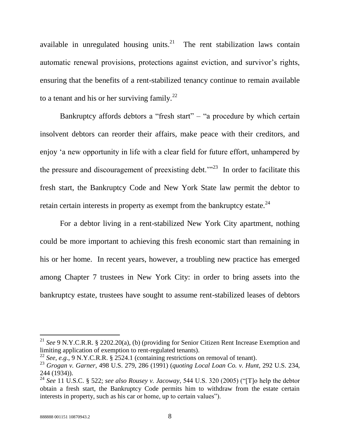available in unregulated housing units. $21$  The rent stabilization laws contain automatic renewal provisions, protections against eviction, and survivor's rights, ensuring that the benefits of a rent-stabilized tenancy continue to remain available to a tenant and his or her surviving family.<sup>22</sup>

Bankruptcy affords debtors a "fresh start" – "a procedure by which certain insolvent debtors can reorder their affairs, make peace with their creditors, and enjoy 'a new opportunity in life with a clear field for future effort, unhampered by the pressure and discouragement of preexisting debt.<sup> $m23$ </sup> In order to facilitate this fresh start, the Bankruptcy Code and New York State law permit the debtor to retain certain interests in property as exempt from the bankruptcy estate.<sup>24</sup>

For a debtor living in a rent-stabilized New York City apartment, nothing could be more important to achieving this fresh economic start than remaining in his or her home. In recent years, however, a troubling new practice has emerged among Chapter 7 trustees in New York City: in order to bring assets into the bankruptcy estate, trustees have sought to assume rent-stabilized leases of debtors

<sup>21</sup> *See* 9 N.Y.C.R.R. § 2202.20(a), (b) (providing for Senior Citizen Rent Increase Exemption and limiting application of exemption to rent-regulated tenants).

<sup>22</sup> *See, e.g.*, 9 N.Y.C.R.R. § 2524.1 (containing restrictions on removal of tenant).

<sup>23</sup> *Grogan v. Garner*, 498 U.S. 279, 286 (1991) (*quoting Local Loan Co. v. Hunt*, 292 U.S. 234, 244 (1934)).

<sup>24</sup> *See* 11 U.S.C. § 522; *see also Rousey v. Jacoway*, 544 U.S. 320 (2005) ("[T]o help the debtor obtain a fresh start, the Bankruptcy Code permits him to withdraw from the estate certain interests in property, such as his car or home, up to certain values").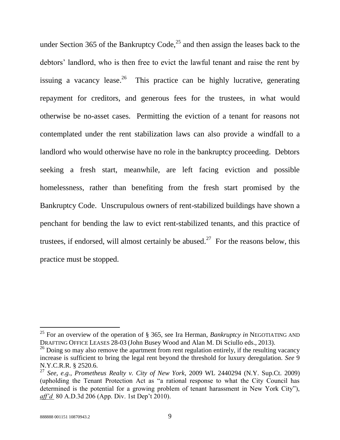under Section 365 of the Bankruptcy Code,<sup>25</sup> and then assign the leases back to the debtors' landlord, who is then free to evict the lawful tenant and raise the rent by issuing a vacancy lease.<sup>26</sup> This practice can be highly lucrative, generating repayment for creditors, and generous fees for the trustees, in what would otherwise be no-asset cases. Permitting the eviction of a tenant for reasons not contemplated under the rent stabilization laws can also provide a windfall to a landlord who would otherwise have no role in the bankruptcy proceeding. Debtors seeking a fresh start, meanwhile, are left facing eviction and possible homelessness, rather than benefiting from the fresh start promised by the Bankruptcy Code. Unscrupulous owners of rent-stabilized buildings have shown a penchant for bending the law to evict rent-stabilized tenants, and this practice of trustees, if endorsed, will almost certainly be abused.<sup>27</sup> For the reasons below, this practice must be stopped.

<sup>25</sup> For an overview of the operation of § 365, see Ira Herman, *Bankruptcy in* NEGOTIATING AND DRAFTING OFFICE LEASES 28-03 (John Busey Wood and Alan M. Di Sciullo eds., 2013).

<sup>&</sup>lt;sup>26</sup> Doing so may also remove the apartment from rent regulation entirely, if the resulting vacancy increase is sufficient to bring the legal rent beyond the threshold for luxury deregulation. *See* 9 N.Y.C.R.R. § 2520.6.

<sup>27</sup> *See, e.g.*, *Prometheus Realty v. City of New York*, 2009 WL 2440294 (N.Y. Sup.Ct. 2009) (upholding the Tenant Protection Act as "a rational response to what the City Council has determined is the potential for a growing problem of tenant harassment in New York City"), *aff'd* 80 A.D.3d 206 (App. Div. 1st Dep't 2010).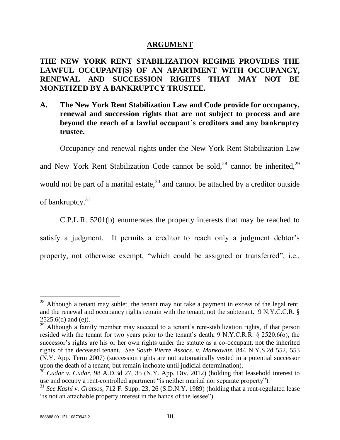### **ARGUMENT**

## <span id="page-15-0"></span>**THE NEW YORK RENT STABILIZATION REGIME PROVIDES THE LAWFUL OCCUPANT(S) OF AN APARTMENT WITH OCCUPANCY, RENEWAL AND SUCCESSION RIGHTS THAT MAY NOT BE MONETIZED BY A BANKRUPTCY TRUSTEE.**

**A. The New York Rent Stabilization Law and Code provide for occupancy, renewal and succession rights that are not subject to process and are beyond the reach of a lawful occupant's creditors and any bankruptcy trustee.** 

Occupancy and renewal rights under the New York Rent Stabilization Law

and New York Rent Stabilization Code cannot be sold,  $28$  cannot be inherited,  $29$ 

would not be part of a marital estate,  $30$  and cannot be attached by a creditor outside

of bankruptcy.<sup>31</sup>

l

C.P.L.R. 5201(b) enumerates the property interests that may be reached to satisfy a judgment. It permits a creditor to reach only a judgment debtor's property, not otherwise exempt, "which could be assigned or transferred", i.e.,

 $28$  Although a tenant may sublet, the tenant may not take a payment in excess of the legal rent, and the renewal and occupancy rights remain with the tenant, not the subtenant. 9 N.Y.C.C.R. §  $2525.6(d)$  and (e)).

 $29$  Although a family member may succeed to a tenant's rent-stabilization rights, if that person resided with the tenant for two years prior to the tenant's death, 9 N.Y.C.R.R. § 2520.6(o), the successor's rights are his or her own rights under the statute as a co-occupant, not the inherited rights of the deceased tenant. *See South Pierre Assocs. v. Mankowitz*, 844 N.Y.S.2d 552, 553 (N.Y. App. Term 2007) (succession rights are not automatically vested in a potential successor upon the death of a tenant, but remain inchoate until judicial determination).

<sup>&</sup>lt;sup>30</sup> *Cudar v. Cudar*, 98 A.D.3d 27, 35 (N.Y. App. Div. 2012) (holding that leasehold interest to use and occupy a rent-controlled apartment "is neither marital nor separate property").

<sup>31</sup> *See Kashi v. Gratsos*, 712 F. Supp. 23, 26 (S.D.N.Y. 1989) (holding that a rent-regulated lease "is not an attachable property interest in the hands of the lessee").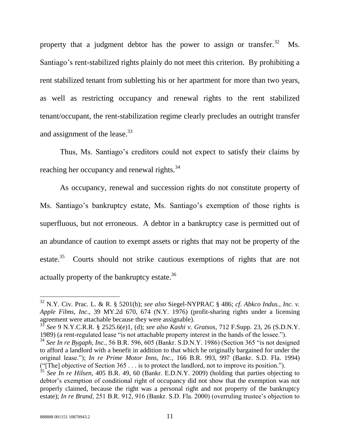property that a judgment debtor has the power to assign or transfer.  $32$  Ms. Santiago's rent-stabilized rights plainly do not meet this criterion. By prohibiting a rent stabilized tenant from subletting his or her apartment for more than two years, as well as restricting occupancy and renewal rights to the rent stabilized tenant/occupant, the rent-stabilization regime clearly precludes an outright transfer and assignment of the lease.<sup>33</sup>

Thus, Ms. Santiago's creditors could not expect to satisfy their claims by reaching her occupancy and renewal rights.<sup>34</sup>

As occupancy, renewal and succession rights do not constitute property of Ms. Santiago's bankruptcy estate, Ms. Santiago's exemption of those rights is superfluous, but not erroneous. A debtor in a bankruptcy case is permitted out of an abundance of caution to exempt assets or rights that may not be property of the estate.<sup>35</sup> Courts should not strike cautious exemptions of rights that are not actually property of the bankruptcy estate.<sup>36</sup>

<span id="page-16-0"></span><sup>32</sup> N.Y. Civ. Prac. L. & R. § 5201(b); *see also* Siegel-NYPRAC § 486; *cf*. *Abkco Indus., Inc. v. Apple Films, Inc*., 39 MY.2d 670, 674 (N.Y. 1976) (profit-sharing rights under a licensing agreement were attachable because they were assignable).

<sup>33</sup> *See* 9 N.Y.C.R.R. § 2525.6(e)1, (d); *see also Kashi v. Gratsos*, 712 F.Supp. 23, 26 (S.D.N.Y. 1989) (a rent-regulated lease "is not attachable property interest in the hands of the lessee.").

<sup>34</sup> *See In re Bygaph, Inc.*, 56 B.R. 596, 605 (Bankr. S.D.N.Y. 1986) (Section 365 "is not designed to afford a landlord with a benefit in addition to that which he originally bargained for under the original lease."); *In re Prime Motor Inns, Inc.*, 166 B.R. 993, 997 (Bankr. S.D. Fla. 1994) ("[The] objective of Section 365 . . . is to protect the landlord, not to improve its position.").

<sup>&</sup>lt;sup>35</sup> See In re Hilsen, 405 B.R. 49, 60 (Bankr. E.D.N.Y. 2009) (holding that parties objecting to debtor's exemption of conditional right of occupancy did not show that the exemption was not properly claimed, because the right was a personal right and not property of the bankruptcy estate); *In re Brand*, 251 B.R. 912, 916 (Bankr. S.D. Fla. 2000) (overruling trustee's objection to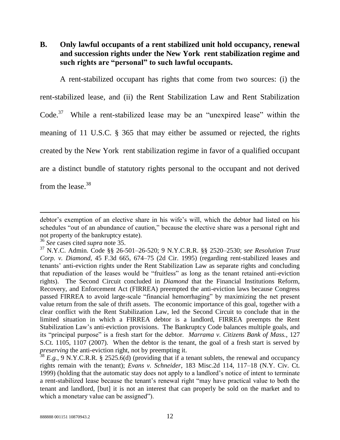**B. Only lawful occupants of a rent stabilized unit hold occupancy, renewal and succession rights under the New York rent stabilization regime and such rights are "personal" to such lawful occupants.**

A rent-stabilized occupant has rights that come from two sources: (i) the rent-stabilized lease, and (ii) the Rent Stabilization Law and Rent Stabilization Code.<sup>37</sup> While a rent-stabilized lease may be an "unexpired lease" within the meaning of 11 U.S.C. § 365 that may either be assumed or rejected, the rights created by the New York rent stabilization regime in favor of a qualified occupant are a distinct bundle of statutory rights personal to the occupant and not derived from the lease. $38$ 

debtor's exemption of an elective share in his wife's will, which the debtor had listed on his schedules "out of an abundance of caution," because the elective share was a personal right and not property of the bankruptcy estate).

<sup>36</sup> *See* cases cited *supra* note [35.](#page-16-0)

<sup>37</sup> N.Y.C. Admin. Code §§ 26-501–26-520; 9 N.Y.C.R.R. §§ 2520–2530; *see Resolution Trust Corp. v. Diamond*, 45 F.3d 665, 674–75 (2d Cir. 1995) (regarding rent-stabilized leases and tenants' anti-eviction rights under the Rent Stabilization Law as separate rights and concluding that repudiation of the leases would be "fruitless" as long as the tenant retained anti-eviction rights). The Second Circuit concluded in *Diamond* that the Financial Institutions Reform, Recovery, and Enforcement Act (FIRREA) preempted the anti-eviction laws because Congress passed FIRREA to avoid large-scale "financial hemorrhaging" by maximizing the net present value return from the sale of thrift assets. The economic importance of this goal, together with a clear conflict with the Rent Stabilization Law, led the Second Circuit to conclude that in the limited situation in which a FIRREA debtor is a landlord, FIRREA preempts the Rent Stabilization Law's anti-eviction provisions. The Bankruptcy Code balances multiple goals, and its "principal purpose" is a fresh start for the debtor. *Marrama v. Citizens Bank of Mass.*, 127 S.Ct. 1105, 1107 (2007). When the debtor is the tenant, the goal of a fresh start is served by *preserving* the anti-eviction right, not by preempting it.

 $38$  *E.g.*, 9 N.Y.C.R.R. § 2525.6(d) (providing that if a tenant sublets, the renewal and occupancy rights remain with the tenant); *Evans v. Schneider*, 183 Misc.2d 114, 117–18 (N.Y. Civ. Ct. 1999) (holding that the automatic stay does not apply to a landlord's notice of intent to terminate a rent-stabilized lease because the tenant's renewal right "may have practical value to both the tenant and landlord, [but] it is not an interest that can properly be sold on the market and to which a monetary value can be assigned").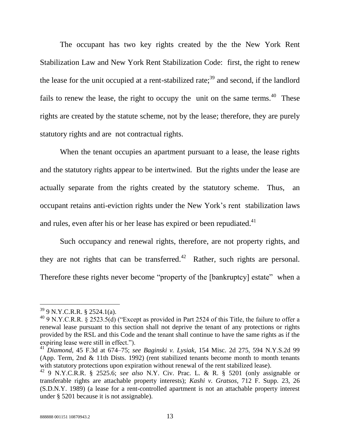The occupant has two key rights created by the the New York Rent Stabilization Law and New York Rent Stabilization Code: first, the right to renew the lease for the unit occupied at a rent-stabilized rate;<sup>39</sup> and second, if the landlord fails to renew the lease, the right to occupy the unit on the same terms.  $40$  These rights are created by the statute scheme, not by the lease; therefore, they are purely statutory rights and are not contractual rights.

When the tenant occupies an apartment pursuant to a lease, the lease rights and the statutory rights appear to be intertwined. But the rights under the lease are actually separate from the rights created by the statutory scheme. Thus, an occupant retains anti-eviction rights under the New York's rent stabilization laws and rules, even after his or her lease has expired or been repudiated. $41$ 

Such occupancy and renewal rights, therefore, are not property rights, and they are not rights that can be transferred.<sup>42</sup> Rather, such rights are personal. Therefore these rights never become "property of the [bankruptcy] estate" when a

<sup>39</sup> 9 N.Y.C.R.R. § 2524.1(a).

<sup>&</sup>lt;sup>40</sup> 9 N.Y.C.R.R. § 2523.5(d) ("Except as provided in Part 2524 of this Title, the failure to offer a renewal lease pursuant to this section shall not deprive the tenant of any protections or rights provided by the RSL and this Code and the tenant shall continue to have the same rights as if the expiring lease were still in effect.").

<sup>41</sup> *Diamond*, 45 F.3d at 674–75; *see Baginski v. Lysiak*, 154 Misc. 2d 275, 594 N.Y.S.2d 99 (App. Term, 2nd & 11th Dists. 1992) (rent stabilized tenants become month to month tenants with statutory protections upon expiration without renewal of the rent stabilized lease).

<sup>42</sup> 9 N.Y.C.R.R. § 2525.6; *see also* N.Y. Civ. Prac. L. & R. § 5201 (only assignable or transferable rights are attachable property interests); *Kashi v. Gratsos*, 712 F. Supp. 23, 26 (S.D.N.Y. 1989) (a lease for a rent-controlled apartment is not an attachable property interest under § 5201 because it is not assignable).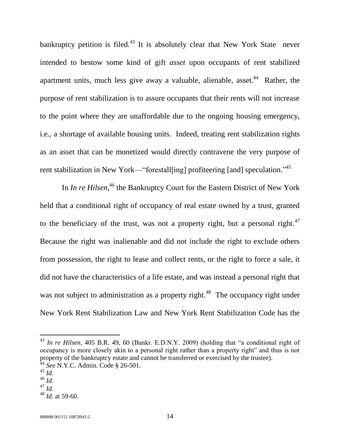bankruptcy petition is filed.<sup>43</sup> It is absolutely clear that New York State never intended to bestow some kind of gift *asset* upon occupants of rent stabilized apartment units, much less give away a valuable, alienable, asset.<sup>44</sup> Rather, the purpose of rent stabilization is to assure occupants that their rents will not increase to the point where they are unaffordable due to the ongoing housing emergency, i.e., a shortage of available housing units. Indeed, treating rent stabilization rights as an asset that can be monetized would directly contravene the very purpose of rent stabilization in New York—"forestall[ing] profiteering [and] speculation."<sup>45</sup>

In *In re Hilsen*<sup>46</sup>, the Bankruptcy Court for the Eastern District of New York held that a conditional right of occupancy of real estate owned by a trust, granted to the beneficiary of the trust, was not a property right, but a personal right.<sup>47</sup> Because the right was inalienable and did not include the right to exclude others from possession, the right to lease and collect rents, or the right to force a sale, it did not have the characteristics of a life estate, and was instead a personal right that was not subject to administration as a property right.<sup>48</sup> The occupancy right under New York Rent Stabilization Law and New York Rent Stabilization Code has the

<sup>44</sup> *See* N.Y.C. Admin. Code § 26-501.

<sup>43</sup> *In re Hilsen*, 405 B.R. 49, 60 (Bankr. E.D.N.Y. 2009) (holding that "a conditional right of occupancy is more closely akin to a personal right rather than a property right" and thus is not property of the bankruptcy estate and cannot be transferred or exercised by the trustee).

<sup>45</sup> *Id.*

<sup>46</sup> *Id.*

<sup>47</sup> *Id.*

<sup>48</sup> *Id.* at 59-60.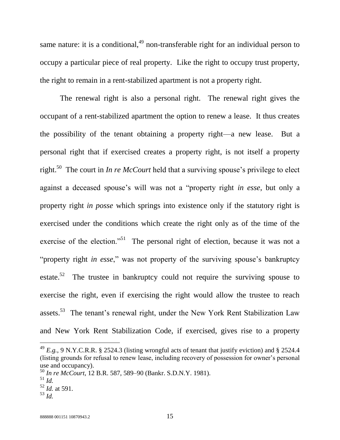same nature: it is a conditional,  $49$  non-transferable right for an individual person to occupy a particular piece of real property. Like the right to occupy trust property, the right to remain in a rent-stabilized apartment is not a property right.

The renewal right is also a personal right. The renewal right gives the occupant of a rent-stabilized apartment the option to renew a lease. It thus creates the possibility of the tenant obtaining a property right—a new lease. But a personal right that if exercised creates a property right, is not itself a property right.<sup>50</sup> The court in *In re McCourt* held that a surviving spouse's privilege to elect against a deceased spouse's will was not a "property right *in esse*, but only a property right *in posse* which springs into existence only if the statutory right is exercised under the conditions which create the right only as of the time of the exercise of the election."<sup>51</sup> The personal right of election, because it was not a "property right *in esse*," was not property of the surviving spouse's bankruptcy estate.<sup>52</sup> The trustee in bankruptcy could not require the surviving spouse to exercise the right, even if exercising the right would allow the trustee to reach assets.<sup>53</sup> The tenant's renewal right, under the New York Rent Stabilization Law and New York Rent Stabilization Code, if exercised, gives rise to a property

 $^{49}$  *E.g.*, 9 N.Y.C.R.R. § 2524.3 (listing wrongful acts of tenant that justify eviction) and § 2524.4 (listing grounds for refusal to renew lease, including recovery of possession for owner's personal use and occupancy).

<sup>50</sup> *In re McCourt*, 12 B.R. 587, 589–90 (Bankr. S.D.N.Y. 1981).

<sup>51</sup> *Id.*

<sup>52</sup> *Id.* at 591.

<sup>53</sup> *Id.*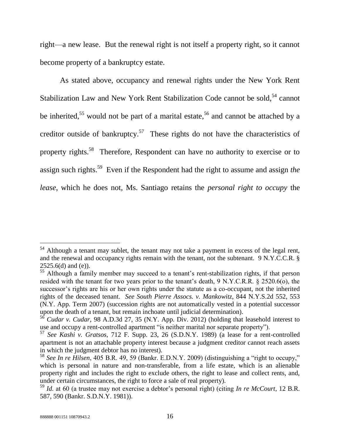right—a new lease. But the renewal right is not itself a property right, so it cannot become property of a bankruptcy estate.

As stated above, occupancy and renewal rights under the New York Rent Stabilization Law and New York Rent Stabilization Code cannot be sold,  $54$  cannot be inherited,<sup>55</sup> would not be part of a marital estate,<sup>56</sup> and cannot be attached by a creditor outside of bankruptcy.<sup>57</sup> These rights do not have the characteristics of property rights.<sup>58</sup> Therefore, Respondent can have no authority to exercise or to assign such rights.<sup>59</sup> Even if the Respondent had the right to assume and assign *the lease*, which he does not, Ms. Santiago retains the *personal right to occupy* the

 $54$  Although a tenant may sublet, the tenant may not take a payment in excess of the legal rent, and the renewal and occupancy rights remain with the tenant, not the subtenant. 9 N.Y.C.C.R. §  $2525.6(d)$  and (e)).

 $\frac{252556(1)}{55}$  Although a family member may succeed to a tenant's rent-stabilization rights, if that person resided with the tenant for two years prior to the tenant's death, 9 N.Y.C.R.R. § 2520.6(o), the successor's rights are his or her own rights under the statute as a co-occupant, not the inherited rights of the deceased tenant. *See South Pierre Assocs. v. Mankowitz*, 844 N.Y.S.2d 552, 553 (N.Y. App. Term 2007) (succession rights are not automatically vested in a potential successor upon the death of a tenant, but remain inchoate until judicial determination).

<sup>56</sup> *Cudar v. Cudar*, 98 A.D.3d 27, 35 (N.Y. App. Div. 2012) (holding that leasehold interest to use and occupy a rent-controlled apartment "is neither marital nor separate property").

<sup>57</sup> *See Kashi v. Gratsos*, 712 F. Supp. 23, 26 (S.D.N.Y. 1989) (a lease for a rent-controlled apartment is not an attachable property interest because a judgment creditor cannot reach assets in which the judgment debtor has no interest).

<sup>58</sup> *See In re Hilsen*, 405 B.R. 49, 59 (Bankr. E.D.N.Y. 2009) (distinguishing a "right to occupy," which is personal in nature and non-transferable, from a life estate, which is an alienable property right and includes the right to exclude others, the right to lease and collect rents, and, under certain circumstances, the right to force a sale of real property).

<sup>59</sup> *Id.* at 60 (a trustee may not exercise a debtor's personal right) (citing *In re McCourt*, 12 B.R. 587, 590 (Bankr. S.D.N.Y. 1981)).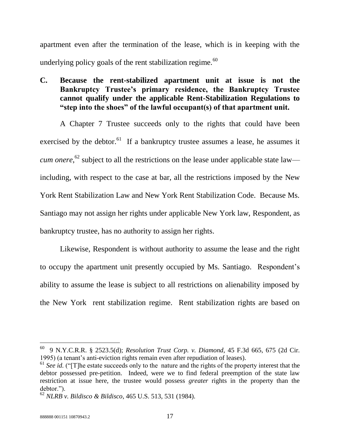apartment even after the termination of the lease, which is in keeping with the underlying policy goals of the rent stabilization regime. $^{60}$ 

**C. Because the rent-stabilized apartment unit at issue is not the Bankruptcy Trustee's primary residence, the Bankruptcy Trustee cannot qualify under the applicable Rent-Stabilization Regulations to "step into the shoes" of the lawful occupant(s) of that apartment unit.**

A Chapter 7 Trustee succeeds only to the rights that could have been exercised by the debtor.<sup>61</sup> If a bankruptcy trustee assumes a lease, he assumes it *cum onere*, <sup>62</sup> subject to all the restrictions on the lease under applicable state law including, with respect to the case at bar, all the restrictions imposed by the New York Rent Stabilization Law and New York Rent Stabilization Code. Because Ms. Santiago may not assign her rights under applicable New York law, Respondent, as bankruptcy trustee, has no authority to assign her rights.

Likewise, Respondent is without authority to assume the lease and the right to occupy the apartment unit presently occupied by Ms. Santiago. Respondent's ability to assume the lease is subject to all restrictions on alienability imposed by the New York rent stabilization regime. Rent stabilization rights are based on

<sup>60</sup> 9 N.Y.C.R.R. § 2523.5(d); *Resolution Trust Corp. v. Diamond*, 45 F.3d 665, 675 (2d Cir. 1995) (a tenant's anti-eviction rights remain even after repudiation of leases).

<sup>&</sup>lt;sup>61</sup> See id. ("[T]he estate succeeds only to the nature and the rights of the property interest that the debtor possessed pre-petition. Indeed, were we to find federal preemption of the state law restriction at issue here, the trustee would possess *greater* rights in the property than the debtor.").

<sup>62</sup> *NLRB v. Bildisco & Bildisco*, 465 U.S. 513, 531 (1984).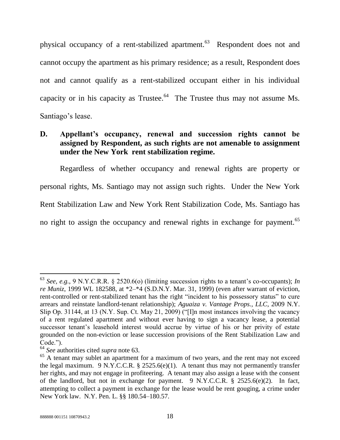<span id="page-23-0"></span>physical occupancy of a rent-stabilized apartment.<sup>63</sup> Respondent does not and cannot occupy the apartment as his primary residence; as a result, Respondent does not and cannot qualify as a rent-stabilized occupant either in his individual capacity or in his capacity as Trustee.<sup>64</sup> The Trustee thus may not assume Ms. Santiago's lease.

## **D. Appellant's occupancy, renewal and succession rights cannot be assigned by Respondent, as such rights are not amenable to assignment under the New York rent stabilization regime.**

Regardless of whether occupancy and renewal rights are property or personal rights, Ms. Santiago may not assign such rights. Under the New York Rent Stabilization Law and New York Rent Stabilization Code, Ms. Santiago has no right to assign the occupancy and renewal rights in exchange for payment.<sup>65</sup>

<sup>63</sup> *See, e.g.*, 9 N.Y.C.R.R. § 2520.6(o) (limiting succession rights to a tenant's co-occupants); *In re Muniz*, 1999 WL 182588, at \*2–\*4 (S.D.N.Y. Mar. 31, 1999) (even after warrant of eviction, rent-controlled or rent-stabilized tenant has the right "incident to his possessory status" to cure arrears and reinstate landlord-tenant relationship); *Aguaiza v. Vantage Props., LLC*, 2009 N.Y. Slip Op. 31144, at 13 (N.Y. Sup. Ct. May 21, 2009) ("[I]n most instances involving the vacancy of a rent regulated apartment and without ever having to sign a vacancy lease, a potential successor tenant's leasehold interest would accrue by virtue of his or her privity of estate grounded on the non-eviction or lease succession provisions of the Rent Stabilization Law and Code.").

<sup>64</sup> *See* authorities cited *supra* note [63.](#page-23-0)

<sup>&</sup>lt;sup>65</sup> A tenant may sublet an apartment for a maximum of two years, and the rent may not exceed the legal maximum. 9 N.Y.C.C.R.  $\S$  2525.6(e)(1). A tenant thus may not permanently transfer her rights, and may not engage in profiteering. A tenant may also assign a lease with the consent of the landlord, but not in exchange for payment. 9 N.Y.C.C.R. § 2525.6(e)(2). In fact, attempting to collect a payment in exchange for the lease would be rent gouging, a crime under New York law. N.Y. Pen. L. §§ 180.54–180.57.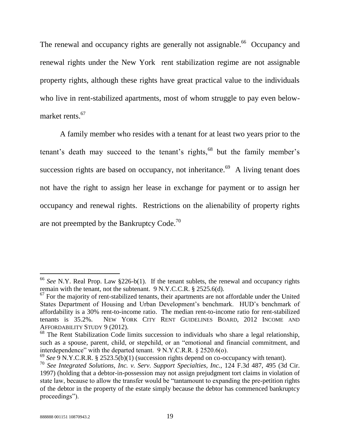The renewal and occupancy rights are generally not assignable.<sup>66</sup> Occupancy and renewal rights under the New York rent stabilization regime are not assignable property rights, although these rights have great practical value to the individuals who live in rent-stabilized apartments, most of whom struggle to pay even belowmarket rents.<sup>67</sup>

A family member who resides with a tenant for at least two years prior to the tenant's death may succeed to the tenant's rights,<sup>68</sup> but the family member's succession rights are based on occupancy, not inheritance.<sup>69</sup> A living tenant does not have the right to assign her lease in exchange for payment or to assign her occupancy and renewal rights. Restrictions on the alienability of property rights are not preempted by the Bankruptcy Code.<sup>70</sup>

<sup>66</sup> *See* N.Y. Real Prop. Law §226-b(1). If the tenant sublets, the renewal and occupancy rights remain with the tenant, not the subtenant. 9 N.Y.C.C.R. § 2525.6(d).

 $67$  For the majority of rent-stabilized tenants, their apartments are not affordable under the United States Department of Housing and Urban Development's benchmark. HUD's benchmark of affordability is a 30% rent-to-income ratio. The median rent-to-income ratio for rent-stabilized tenants is 35.2%. NEW YORK CITY RENT GUIDELINES BOARD, 2012 INCOME AND AFFORDABILITY STUDY 9 (2012).

 $68$  The Rent Stabilization Code limits succession to individuals who share a legal relationship, such as a spouse, parent, child, or stepchild, or an "emotional and financial commitment, and interdependence" with the departed tenant. 9 N.Y.C.R.R. § 2520.6(o).

<sup>69</sup> *See* 9 N.Y.C.R.R. § 2523.5(b)(1) (succession rights depend on co-occupancy with tenant).

<sup>70</sup> *See Integrated Solutions, Inc. v. Serv. Support Specialties, Inc.*, 124 F.3d 487, 495 (3d Cir. 1997) (holding that a debtor-in-possession may not assign prejudgment tort claims in violation of state law, because to allow the transfer would be "tantamount to expanding the pre-petition rights of the debtor in the property of the estate simply because the debtor has commenced bankruptcy proceedings").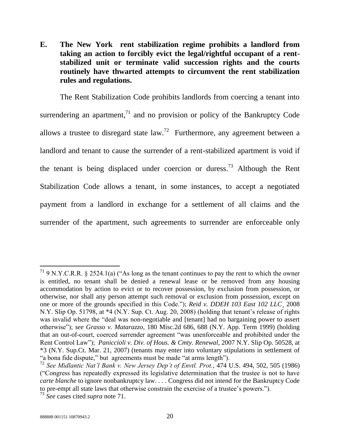**E. The New York rent stabilization regime prohibits a landlord from taking an action to forcibly evict the legal/rightful occupant of a rentstabilized unit or terminate valid succession rights and the courts routinely have thwarted attempts to circumvent the rent stabilization rules and regulations.**

<span id="page-25-0"></span>The Rent Stabilization Code prohibits landlords from coercing a tenant into surrendering an apartment, $^{71}$  and no provision or policy of the Bankruptcy Code allows a trustee to disregard state  $law$ <sup>72</sup> Furthermore, any agreement between a landlord and tenant to cause the surrender of a rent-stabilized apartment is void if the tenant is being displaced under coercion or duress.<sup>73</sup> Although the Rent Stabilization Code allows a tenant, in some instances, to accept a negotiated payment from a landlord in exchange for a settlement of all claims and the surrender of the apartment, such agreements to surrender are enforceable only

<sup>&</sup>lt;sup>71</sup> 9 N.Y.C.R.R. § 2524.1(a) ("As long as the tenant continues to pay the rent to which the owner is entitled, no tenant shall be denied a renewal lease or be removed from any housing accommodation by action to evict or to recover possession, by exclusion from possession, or otherwise, nor shall any person attempt such removal or exclusion from possession, except on one or more of the grounds specified in this Code."); *Reid v. DDEH 103 East 102 LLC*¸ 2008 N.Y. Slip Op. 51798, at \*4 (N.Y. Sup. Ct. Aug. 20, 2008) (holding that tenant's release of rights was invalid where the "deal was non-negotiable and [tenant] had no bargaining power to assert otherwise"); *see Grasso v. Matarazzo*, 180 Misc.2d 686, 688 (N.Y. App. Term 1999) (holding that an out-of-court, coerced surrender agreement "was unenforceable and prohibited under the Rent Control Law"); *Paniccioli v. Div. of Hous. & Cmty. Renewal*, 2007 N.Y. Slip Op. 50528, at \*3 (N.Y. Sup.Ct. Mar. 21, 2007) (tenants may enter into voluntary stipulations in settlement of "a bona fide dispute," but agreements must be made "at arms length").

<sup>&</sup>lt;sup>72</sup> See Midlantic Nat'l Bank v. New Jersey Dep't of Envtl. Prot., 474 U.S. 494, 502, 505 (1986) ("Congress has repeatedly expressed its legislative determination that the trustee is not to have *carte blanche* to ignore nonbankruptcy law. . . . Congress did not intend for the Bankruptcy Code to pre-empt all state laws that otherwise constrain the exercise of a trustee's powers.").

<sup>73</sup> *See* cases cited *supra* note [71.](#page-25-0)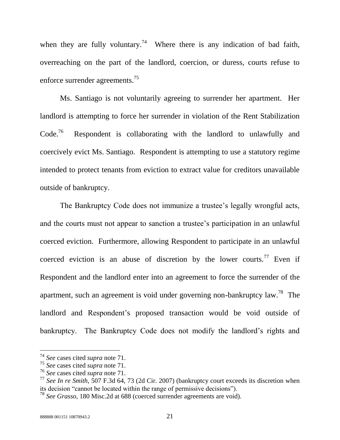when they are fully voluntary.<sup>74</sup> Where there is any indication of bad faith, overreaching on the part of the landlord, coercion, or duress, courts refuse to enforce surrender agreements.<sup>75</sup>

Ms. Santiago is not voluntarily agreeing to surrender her apartment. Her landlord is attempting to force her surrender in violation of the Rent Stabilization  $Code<sup>76</sup>$  Respondent is collaborating with the landlord to unlawfully and coercively evict Ms. Santiago. Respondent is attempting to use a statutory regime intended to protect tenants from eviction to extract value for creditors unavailable outside of bankruptcy.

The Bankruptcy Code does not immunize a trustee's legally wrongful acts, and the courts must not appear to sanction a trustee's participation in an unlawful coerced eviction. Furthermore, allowing Respondent to participate in an unlawful coerced eviction is an abuse of discretion by the lower courts.<sup>77</sup> Even if Respondent and the landlord enter into an agreement to force the surrender of the apartment, such an agreement is void under governing non-bankruptcy law.<sup>78</sup> The landlord and Respondent's proposed transaction would be void outside of bankruptcy. The Bankruptcy Code does not modify the landlord's rights and

<sup>74</sup> *See* cases cited *supra* note [71.](#page-25-0)

<sup>75</sup> *See* cases cited *supra* note [71.](#page-25-0)

<sup>76</sup> *See* cases cited *supra* note [71.](#page-25-0)

<sup>77</sup> *See In re Smith*, 507 F.3d 64, 73 (2d Cir. 2007) (bankruptcy court exceeds its discretion when its decision "cannot be located within the range of permissive decisions").

<sup>78</sup> *See Grasso*, 180 Misc.2d at 688 (coerced surrender agreements are void).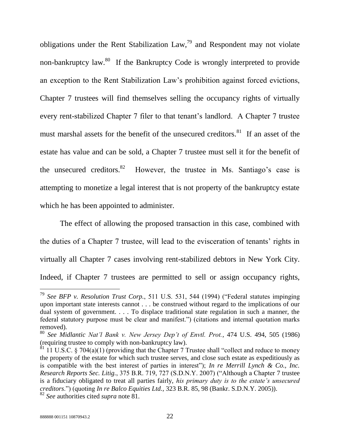<span id="page-27-0"></span>obligations under the Rent Stabilization Law,  $\frac{79}{9}$  and Respondent may not violate non-bankruptcy law.<sup>80</sup> If the Bankruptcy Code is wrongly interpreted to provide an exception to the Rent Stabilization Law's prohibition against forced evictions, Chapter 7 trustees will find themselves selling the occupancy rights of virtually every rent-stabilized Chapter 7 filer to that tenant's landlord. A Chapter 7 trustee must marshal assets for the benefit of the unsecured creditors.<sup>81</sup> If an asset of the estate has value and can be sold, a Chapter 7 trustee must sell it for the benefit of the unsecured creditors. $82$  However, the trustee in Ms. Santiago's case is attempting to monetize a legal interest that is not property of the bankruptcy estate which he has been appointed to administer.

The effect of allowing the proposed transaction in this case, combined with the duties of a Chapter 7 trustee, will lead to the evisceration of tenants' rights in virtually all Chapter 7 cases involving rent-stabilized debtors in New York City. Indeed, if Chapter 7 trustees are permitted to sell or assign occupancy rights,

<sup>79</sup> *See BFP v. Resolution Trust Corp.*, 511 U.S. 531, 544 (1994) ("Federal statutes impinging upon important state interests cannot . . . be construed without regard to the implications of our dual system of government. . . . To displace traditional state regulation in such a manner, the federal statutory purpose must be clear and manifest.") (citations and internal quotation marks removed).

<sup>80</sup> *See Midlantic Nat'l Bank v. New Jersey Dep't of Envtl. Prot.*, 474 U.S. 494, 505 (1986) (requiring trustee to comply with non-bankruptcy law).

 $81$  11 U.S.C. § 704(a)(1) (providing that the Chapter 7 Trustee shall "collect and reduce to money the property of the estate for which such trustee serves, and close such estate as expeditiously as is compatible with the best interest of parties in interest"); *In re Merrill Lynch & Co., Inc. Research Reports Sec. Litig.*, 375 B.R. 719, 727 (S.D.N.Y. 2007) ("Although a Chapter 7 trustee is a fiduciary obligated to treat all parties fairly, *his primary duty is to the estate's unsecured creditors*.") (quoting *In re Balco Equities Ltd.*, 323 B.R. 85, 98 (Bankr. S.D.N.Y. 2005)). <sup>82</sup> *See* authorities cited *supra* note [81.](#page-27-0)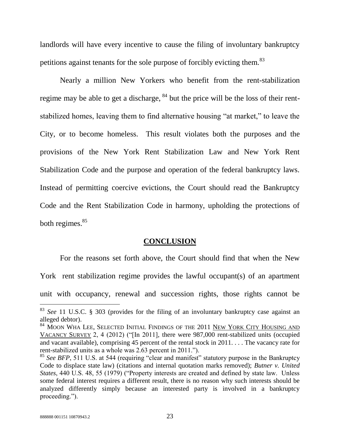landlords will have every incentive to cause the filing of involuntary bankruptcy petitions against tenants for the sole purpose of forcibly evicting them.<sup>83</sup>

Nearly a million New Yorkers who benefit from the rent-stabilization regime may be able to get a discharge,  $84$  but the price will be the loss of their rentstabilized homes, leaving them to find alternative housing "at market," to leave the City, or to become homeless. This result violates both the purposes and the provisions of the New York Rent Stabilization Law and New York Rent Stabilization Code and the purpose and operation of the federal bankruptcy laws. Instead of permitting coercive evictions, the Court should read the Bankruptcy Code and the Rent Stabilization Code in harmony, upholding the protections of both regimes. $85$ 

### **CONCLUSION**

<span id="page-28-0"></span>For the reasons set forth above, the Court should find that when the New York rent stabilization regime provides the lawful occupant(s) of an apartment unit with occupancy, renewal and succession rights, those rights cannot be

<sup>83</sup> *See* 11 U.S.C. § 303 (provides for the filing of an involuntary bankruptcy case against an alleged debtor).

<sup>&</sup>lt;sup>84</sup> MOON WHA LEE, SELECTED INITIAL FINDINGS OF THE 2011 <u>NEW YORK CITY HOUSING AND</u> VACANCY SURVEY 2, 4 (2012) ("[In 2011], there were 987,000 rent-stabilized units (occupied and vacant available), comprising 45 percent of the rental stock in 2011. . . . The vacancy rate for rent-stabilized units as a whole was 2.63 percent in 2011.").

<sup>&</sup>lt;sup>85</sup> See BFP, 511 U.S. at 544 (requiring "clear and manifest" statutory purpose in the Bankruptcy Code to displace state law) (citations and internal quotation marks removed); *Butner v. United States*, 440 U.S. 48, 55 (1979) ("Property interests are created and defined by state law. Unless some federal interest requires a different result, there is no reason why such interests should be analyzed differently simply because an interested party is involved in a bankruptcy proceeding.").